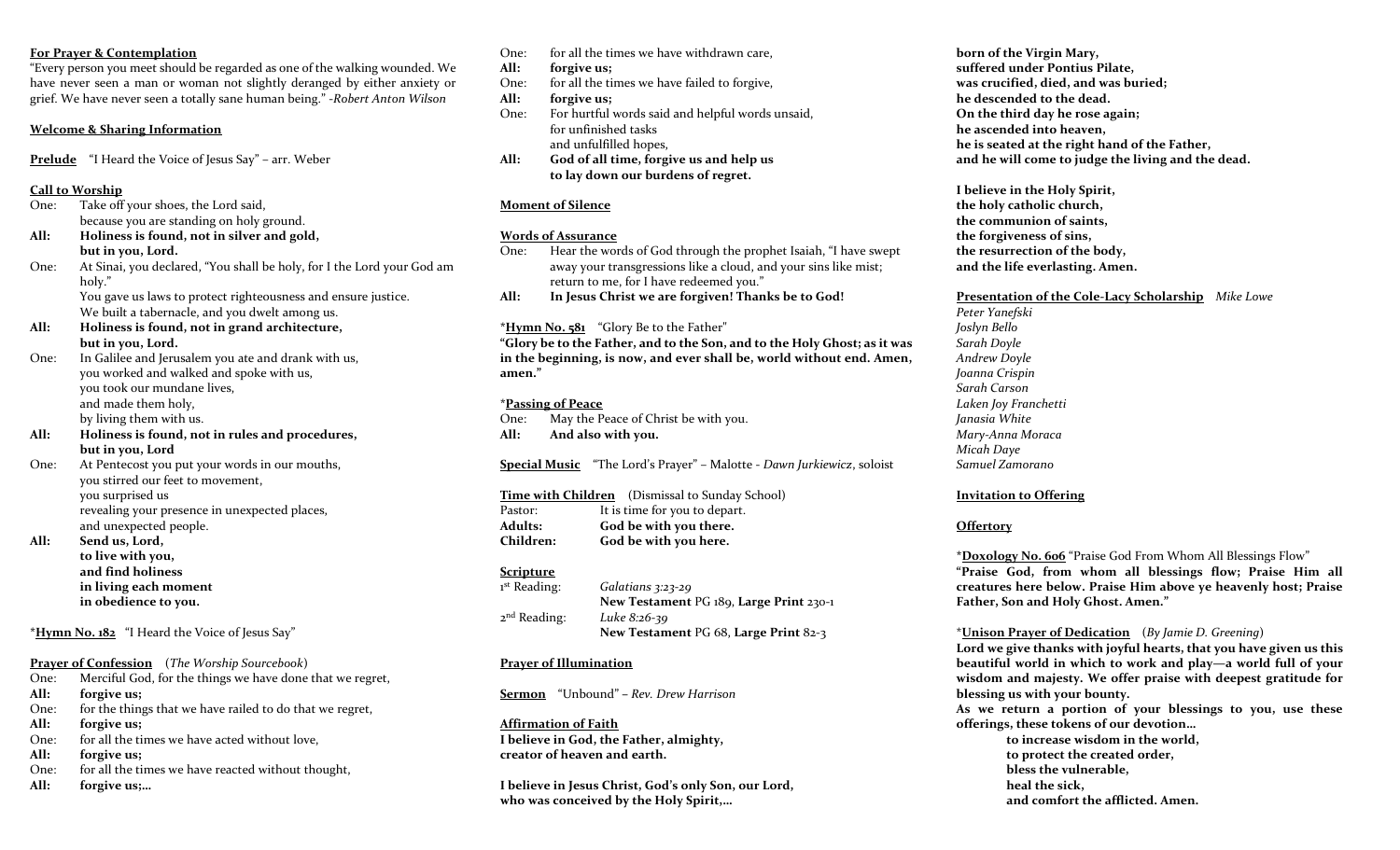# **For Prayer & Contemplation**

"Every person you meet should be regarded as one of the walking wounded. We have never seen a man or woman not slightly deranged by either anxiety or grief. We have never seen a totally sane human being." -*Robert Anton Wilson*

#### **Welcome & Sharing Information**

**Prelude** "I Heard the Voice of Jesus Say" – arr. Weber

#### **Call to Worship**

- One: Take off your shoes, the Lord said, because you are standing on holy ground.
- **All: Holiness is found, not in silver and gold, but in you, Lord.**
- One: At Sinai, you declared, "You shall be holy, for I the Lord your God am holy." You gave us laws to protect righteousness and ensure justice.

We built a tabernacle, and you dwelt among us.

- **All: Holiness is found, not in grand architecture, but in you, Lord.**
- One: In Galilee and Jerusalem you ate and drank with us, you worked and walked and spoke with us, you took our mundane lives, and made them holy, by living them with us.
- **All: Holiness is found, not in rules and procedures, but in you, Lord**

One: At Pentecost you put your words in our mouths, you stirred our feet to movement, you surprised us revealing your presence in unexpected places, and unexpected people.

**All: Send us, Lord, to live with you, and find holiness in living each moment in obedience to you.**

**\*Hymn No. 182** "I Heard the Voice of Jesus Say"

**Prayer of Confession** (*The Worship Sourcebook*)

- One: Merciful God, for the things we have done that we regret,
- **All: forgive us;**
- One: for the things that we have railed to do that we regret,
- **All: forgive us;**
- One: for all the times we have acted without love,
- **All: forgive us;**
- One: for all the times we have reacted without thought,
- **All: forgive us;…**
- One: for all the times we have withdrawn care,
- **All: forgive us;**
	- One: for all the times we have failed to forgive,
	- **All: forgive us;**
	- One: For hurtful words said and helpful words unsaid, for unfinished tasks and unfulfilled hopes,
	- **All: God of all time, forgive us and help us to lay down our burdens of regret.**

## **Moment of Silence**

## **Words of Assurance**

- One: Hear the words of God through the prophet Isaiah, "I have swept away your transgressions like a cloud, and your sins like mist; return to me, for I have redeemed you."
- **All: In Jesus Christ we are forgiven! Thanks be to God!**

#### **\*Hymn No. 581** "Glory Be to the Father"

**"Glory be to the Father, and to the Son, and to the Holy Ghost; as it was in the beginning, is now, and ever shall be, world without end. Amen, amen."**

#### **\*Passing of Peace**

One: May the Peace of Christ be with you. **All: And also with you.** 

**Special Music** "The Lord's Prayer" – Malotte - *Dawn Jurkiewicz*, soloist

|                  | <b>Time with Children</b> (Dismissal to Sunday School) |
|------------------|--------------------------------------------------------|
| Pastor:          | It is time for you to depart.                          |
| <b>Adults:</b>   | God be with you there.                                 |
| <b>Children:</b> | God be with you here.                                  |

## **Scripture**

1st Reading: Galatians 3:23-29 **New Testament** PG 189, **Large Print** 230-1 2<sup>nd</sup> Reading: nd Reading: *Luke 8:26-39* **New Testament** PG 68, **Large Print** 82-3

## **Prayer of Illumination**

**Sermon** "Unbound" **–** *Rev. Drew Harrison*

#### **Affirmation of Faith I believe in God, the Father, almighty, creator of heaven and earth.**

**I believe in Jesus Christ, God's only Son, our Lord, who was conceived by the Holy Spirit,…**

**born of the Virgin Mary, suffered under Pontius Pilate, was crucified, died, and was buried; he descended to the dead. On the third day he rose again; he ascended into heaven, he is seated at the right hand of the Father, and he will come to judge the living and the dead.** 

**I believe in the Holy Spirit, the holy catholic church, the communion of saints, the forgiveness of sins, the resurrection of the body, and the life everlasting. Amen.** 

**Presentation of the Cole-Lacy Scholarship** *Mike Lowe Peter Yanefski Joslyn Bello Sarah Doyle*

*Andrew Doyle Joanna Crispin Sarah Carson Laken Joy Franchetti Janasia White Mary-Anna Moraca Micah Daye Samuel Zamorano*

## **Invitation to Offering**

## **Offertory**

**\*Doxology No. 606** "Praise God From Whom All Blessings Flow" **"Praise God, from whom all blessings flow; Praise Him all creatures here below. Praise Him above ye heavenly host; Praise Father, Son and Holy Ghost. Amen."**

\***Unison Prayer of Dedication** (*By Jamie D. Greening*) **Lord we give thanks with joyful hearts, that you have given us this beautiful world in which to work and play—a world full of your wisdom and majesty. We offer praise with deepest gratitude for blessing us with your bounty.** 

**As we return a portion of your blessings to you, use these offerings, these tokens of our devotion…**

> **to increase wisdom in the world, to protect the created order, bless the vulnerable, heal the sick, and comfort the afflicted. Amen.**